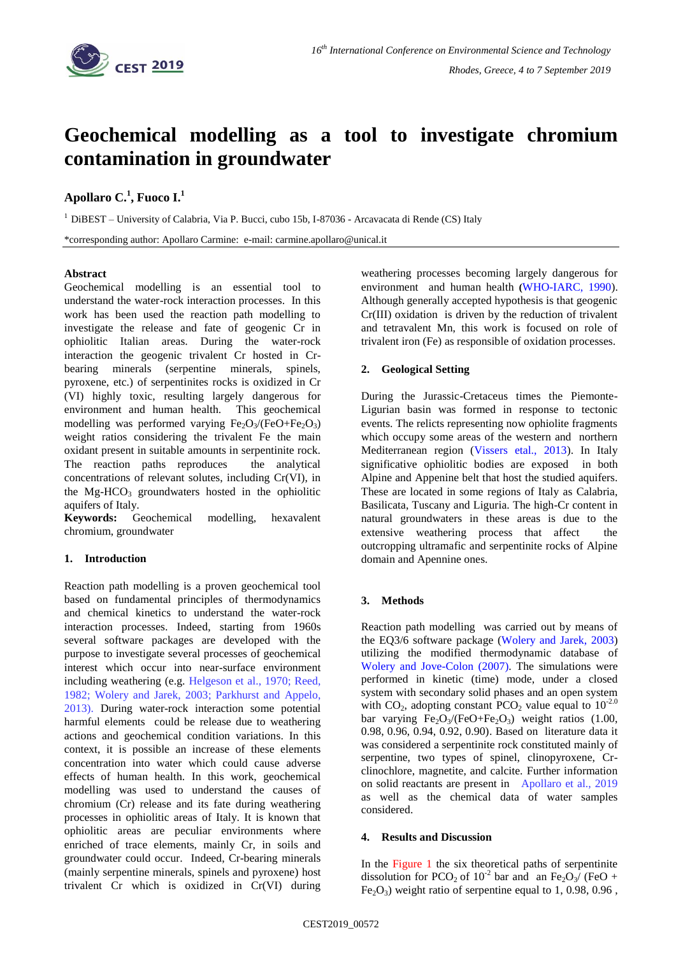

# **Geochemical modelling as a tool to investigate chromium contamination in groundwater**

# **Apollaro C. 1 , Fuoco I. 1**

 $<sup>1</sup>$  DiBEST – University of Calabria, Via P. Bucci, cubo 15b, I-87036 - Arcavacata di Rende (CS) Italy</sup>

\*corresponding author: Apollaro Carmine: e-mail: carmine.apollaro@unical.it

#### **Abstract**

Geochemical modelling is an essential tool to understand the water-rock interaction processes. In this work has been used the reaction path modelling to investigate the release and fate of geogenic Cr in ophiolitic Italian areas. During the water-rock interaction the geogenic trivalent Cr hosted in Crbearing minerals (serpentine minerals, spinels, pyroxene, etc.) of serpentinites rocks is oxidized in Cr (VI) highly toxic, resulting largely dangerous for environment and human health. This geochemical modelling was performed varying  $Fe<sub>2</sub>O<sub>3</sub>/(FeO+Fe<sub>2</sub>O<sub>3</sub>)$ weight ratios considering the trivalent Fe the main oxidant present in suitable amounts in serpentinite rock. The reaction paths reproduces the analytical concentrations of relevant solutes, including Cr(VI), in the  $Mg-HCO<sub>3</sub>$  groundwaters hosted in the ophiolitic aquifers of Italy.

**Keywords:** Geochemical modelling, hexavalent chromium, groundwater

## **1. Introduction**

Reaction path modelling is a proven geochemical tool based on fundamental principles of thermodynamics and chemical kinetics to understand the water-rock interaction processes. Indeed, starting from 1960s several software packages are developed with the purpose to investigate several processes of geochemical interest which occur into near-surface environment including weathering (e.g. Helgeson et al., 1970; Reed, 1982; Wolery and Jarek, 2003; Parkhurst and Appelo, 2013). During water-rock interaction some potential harmful elements could be release due to weathering actions and geochemical condition variations. In this context, it is possible an increase of these elements concentration into water which could cause adverse effects of human health. In this work, geochemical modelling was used to understand the causes of chromium (Cr) release and its fate during weathering processes in ophiolitic areas of Italy. It is known that ophiolitic areas are peculiar environments where enriched of trace elements, mainly Cr, in soils and groundwater could occur. Indeed, Cr-bearing minerals (mainly serpentine minerals, spinels and pyroxene) host trivalent Cr which is oxidized in Cr(VI) during

weathering processes becoming largely dangerous for environment and human health **(**WHO-IARC, 1990). Although generally accepted hypothesis is that geogenic Cr(III) oxidation is driven by the reduction of trivalent and tetravalent Mn, this work is focused on role of trivalent iron (Fe) as responsible of oxidation processes.

## **2. Geological Setting**

During the Jurassic-Cretaceus times the Piemonte-Ligurian basin was formed in response to tectonic events. The relicts representing now ophiolite fragments which occupy some areas of the western and northern Mediterranean region (Vissers etal., 2013). In Italy significative ophiolitic bodies are exposed in both Alpine and Appenine belt that host the studied aquifers. These are located in some regions of Italy as Calabria, Basilicata, Tuscany and Liguria. The high-Cr content in natural groundwaters in these areas is due to the extensive weathering process that affect the outcropping ultramafic and serpentinite rocks of Alpine domain and Apennine ones.

## **3. Methods**

Reaction path modelling was carried out by means of the EQ3/6 software package (Wolery and Jarek, 2003) utilizing the modified thermodynamic database of Wolery and Jove-Colon (2007). The simulations were performed in kinetic (time) mode, under a closed system with secondary solid phases and an open system with  $CO_2$ , adopting constant  $PCO_2$  value equal to  $10^{-2.0}$ bar varying Fe<sub>2</sub>O<sub>3</sub>/(FeO+Fe<sub>2</sub>O<sub>3</sub>) weight ratios (1.00, 0.98, 0.96, 0.94, 0.92, 0.90). Based on literature data it was considered a serpentinite rock constituted mainly of serpentine, two types of spinel, clinopyroxene, Crclinochlore, magnetite, and calcite. Further information on solid reactants are present in Apollaro et al., 2019 as well as the chemical data of water samples considered.

#### **4. Results and Discussion**

In the Figure 1 the six theoretical paths of serpentinite dissolution for PCO<sub>2</sub> of  $10^{-2}$  bar and an Fe<sub>2</sub>O<sub>3</sub>/ (FeO +  $Fe<sub>2</sub>O<sub>3</sub>$ ) weight ratio of serpentine equal to 1, 0.98, 0.96,